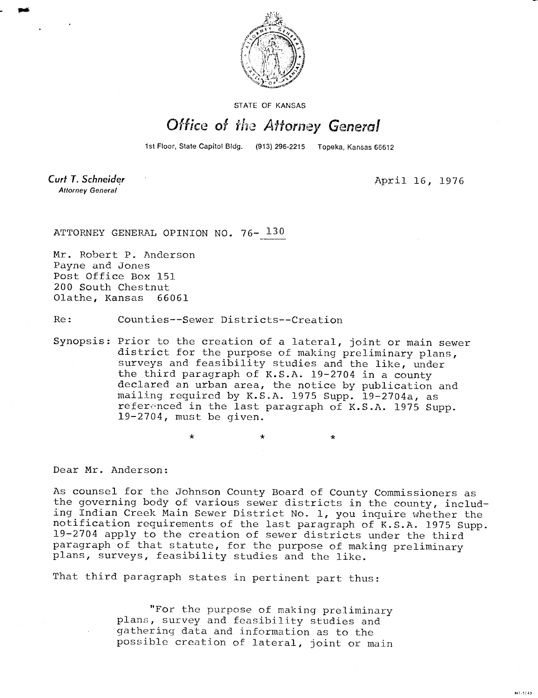

STATE OF KANSAS

## Office of the Attorney General

1st Floor, State Capitol Bldg. (913) 296-2215 Topeka, Kansas 66612

Curt T. Schneider **Attorney General** 

April 16, 1976

MILIOLS

ATTORNEY GENERAL OPINION NO. 76- 130

Mr. Robert P. Anderson Payne and Jones Post Office Box 151 200 South Chestnut Olathe, Kansas 66061

Re: Counties--Sewer Districts--Creation

Synopsis: Prior to the creation of a lateral, joint or main sewer district for the purpose of making preliminary plans, surveys and feasibility studies and the like, under the third paragraph of K.S.A. 19-2704 in a county declared an urban area, the notice by publication and mailing required by K.S.A. 1975 Supp. 19-2704a, as referenced in the last paragraph of K.S.A. 1975 Supp. 19-2704, must be given.

> \*  $\ddot{\bullet}$

Dear Mr. Anderson:

As counsel for the Johnson County Board of County Commissioners as the governing body of various sewer districts in the county, including Indian Creek Main Sewer District No. 1, you inquire whether the notification requirements of the last paragraph of K.S.A. 1975 Supp. 19-2704 apply to the creation of sewer districts under the third paragraph of that statute, for the purpose of making preliminary plans, surveys, feasibility studies and the like.

That third paragraph states in pertinent part thus:

"For the purpose of making preliminary plans, survey and feasibility studies and gathering data and information as to the possible creation of lateral, joint or main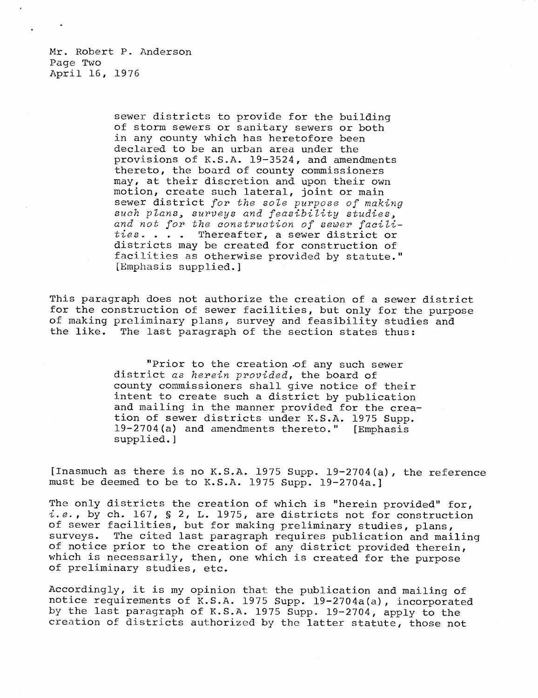Mr. Robert P. Anderson Page Two April 16, 1976

> sewer districts to provide for the building of storm sewers or sanitary sewers or both in any county which has heretofore been declared to be an urban area under the provisions of K.S.A. 19-3524, and amendments thereto, the board of county commissioners may, at their discretion and upon their own motion, create such lateral, joint or main sewer district for the sole purpose of making such plans, surveys and feasibility studies, and not for the construction of sewer facilities. . . . Thereafter, a sewer district or districts may be created for construction of facilities as otherwise provided by statute." [Emphasis supplied.]

This paragraph does not authorize the creation of a sewer district for the construction of sewer facilities, but only for the purpose of making preliminary plans, survey and feasibility studies and the like. The last paragraph of the section states thus:

> "Prior to the creation .of any such sewer district as herein provided, the board of county commissioners shall give notice of their intent to create such a district by publication and mailing in the manner provided for the creation of sewer districts under K.S.A. 1975 Supp. 19-2704(a) and amendments thereto." [Emphasis supplied.]

[Inasmuch as there is no K.S.A. 1975 Supp. 19-2704(a), the reference must be deemed to be to K.S.A. 1975 Supp. 19-2704a.]

The only districts the creation of which is "herein provided" for,  $i.e.,$  by ch. 167, § 2, L. 1975, are districts not for construction of sewer facilities, but for making preliminary studies, plans, surveys. The cited last paragraph requires publication and mailing of notice prior to the creation of any district provided therein, which is necessarily, then, one which is created for the purpose of preliminary studies, etc.

Accordingly, it is my opinion that the publication and mailing of notice requirements of K.S.A. 1975 Supp. 19-2704a(a), incorporated by the last paragraph of K.S.A. 1975 Supp. 19-2704, apply to the creation of districts authorized by the latter statute, those not